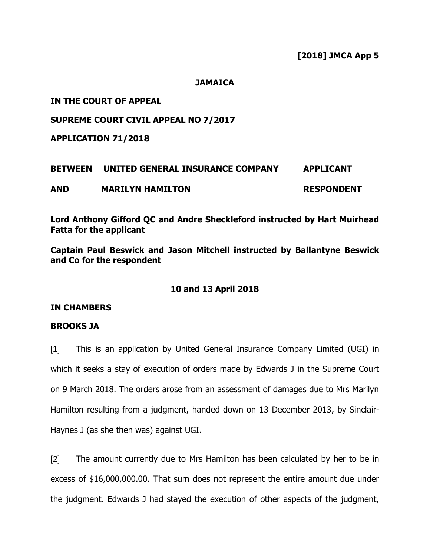#### **JAMAICA**

## **IN THE COURT OF APPEAL**

## **SUPREME COURT CIVIL APPEAL NO 7/2017**

**APPLICATION 71/2018**

# **BETWEEN UNITED GENERAL INSURANCE COMPANY APPLICANT AND MARILYN HAMILTON RESPONDENT**

**Lord Anthony Gifford QC and Andre Sheckleford instructed by Hart Muirhead Fatta for the applicant**

**Captain Paul Beswick and Jason Mitchell instructed by Ballantyne Beswick and Co for the respondent**

### **10 and 13 April 2018**

### **IN CHAMBERS**

### **BROOKS JA**

[1] This is an application by United General Insurance Company Limited (UGI) in which it seeks a stay of execution of orders made by Edwards J in the Supreme Court on 9 March 2018. The orders arose from an assessment of damages due to Mrs Marilyn Hamilton resulting from a judgment, handed down on 13 December 2013, by Sinclair-Haynes J (as she then was) against UGI.

[2] The amount currently due to Mrs Hamilton has been calculated by her to be in excess of \$16,000,000.00. That sum does not represent the entire amount due under the judgment. Edwards J had stayed the execution of other aspects of the judgment,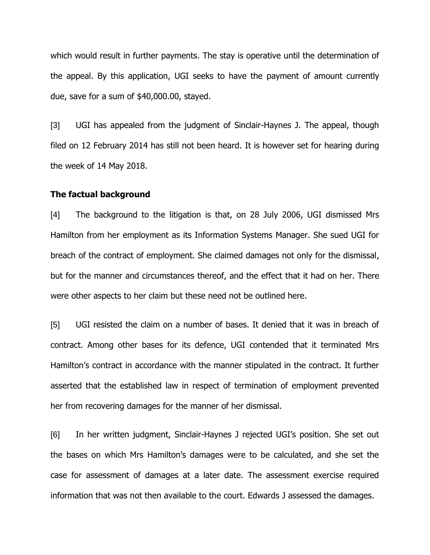which would result in further payments. The stay is operative until the determination of the appeal. By this application, UGI seeks to have the payment of amount currently due, save for a sum of \$40,000.00, stayed.

[3] UGI has appealed from the judgment of Sinclair-Haynes J. The appeal, though filed on 12 February 2014 has still not been heard. It is however set for hearing during the week of 14 May 2018.

#### **The factual background**

[4] The background to the litigation is that, on 28 July 2006, UGI dismissed Mrs Hamilton from her employment as its Information Systems Manager. She sued UGI for breach of the contract of employment. She claimed damages not only for the dismissal, but for the manner and circumstances thereof, and the effect that it had on her. There were other aspects to her claim but these need not be outlined here.

[5] UGI resisted the claim on a number of bases. It denied that it was in breach of contract. Among other bases for its defence, UGI contended that it terminated Mrs Hamilton's contract in accordance with the manner stipulated in the contract. It further asserted that the established law in respect of termination of employment prevented her from recovering damages for the manner of her dismissal.

[6] In her written judgment, Sinclair-Haynes J rejected UGI's position. She set out the bases on which Mrs Hamilton's damages were to be calculated, and she set the case for assessment of damages at a later date. The assessment exercise required information that was not then available to the court. Edwards J assessed the damages.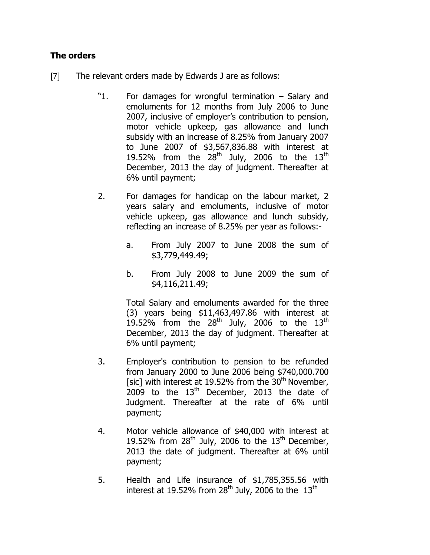# **The orders**

- [7] The relevant orders made by Edwards J are as follows:
	- "1. For damages for wrongful termination Salary and emoluments for 12 months from July 2006 to June 2007, inclusive of employer's contribution to pension, motor vehicle upkeep, gas allowance and lunch subsidy with an increase of 8.25% from January 2007 to June 2007 of \$3,567,836.88 with interest at 19.52% from the  $28<sup>th</sup>$  July, 2006 to the  $13<sup>th</sup>$ December, 2013 the day of judgment. Thereafter at 6% until payment;
	- 2. For damages for handicap on the labour market, 2 years salary and emoluments, inclusive of motor vehicle upkeep, gas allowance and lunch subsidy, reflecting an increase of 8.25% per year as follows:
		- a. From July 2007 to June 2008 the sum of \$3,779,449.49;
		- b. From July 2008 to June 2009 the sum of \$4,116,211.49;

Total Salary and emoluments awarded for the three (3) years being \$11,463,497.86 with interest at 19.52% from the  $28<sup>th</sup>$  July, 2006 to the  $13<sup>th</sup>$ December, 2013 the day of judgment. Thereafter at 6% until payment;

- 3. Employer's contribution to pension to be refunded from January 2000 to June 2006 being \$740,000.700 [sic] with interest at 19.52% from the  $30<sup>th</sup>$  November,  $2009$  to the  $13<sup>th</sup>$  December, 2013 the date of Judgment. Thereafter at the rate of 6% until payment;
- 4. Motor vehicle allowance of \$40,000 with interest at 19.52% from  $28<sup>th</sup>$  July, 2006 to the  $13<sup>th</sup>$  December, 2013 the date of judgment. Thereafter at 6% until payment;
- 5. Health and Life insurance of \$1,785,355.56 with interest at 19.52% from  $28<sup>th</sup>$  July, 2006 to the  $13<sup>th</sup>$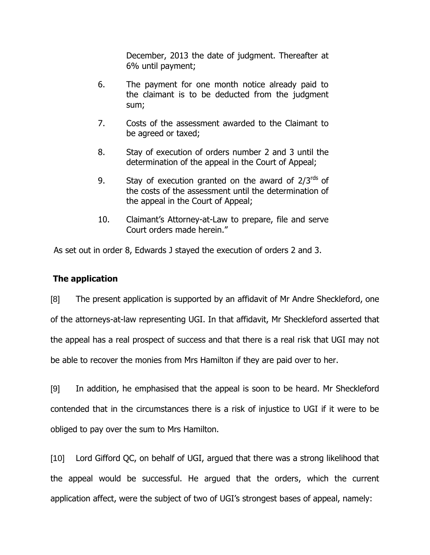December, 2013 the date of judgment. Thereafter at 6% until payment;

- 6. The payment for one month notice already paid to the claimant is to be deducted from the judgment sum;
- 7. Costs of the assessment awarded to the Claimant to be agreed or taxed;
- 8. Stay of execution of orders number 2 and 3 until the determination of the appeal in the Court of Appeal;
- 9. Stay of execution granted on the award of  $2/3^{rds}$  of the costs of the assessment until the determination of the appeal in the Court of Appeal;
- 10. Claimant's Attorney-at-Law to prepare, file and serve Court orders made herein."

As set out in order 8, Edwards J stayed the execution of orders 2 and 3.

# **The application**

[8] The present application is supported by an affidavit of Mr Andre Sheckleford, one of the attorneys-at-law representing UGI. In that affidavit, Mr Sheckleford asserted that the appeal has a real prospect of success and that there is a real risk that UGI may not be able to recover the monies from Mrs Hamilton if they are paid over to her.

[9] In addition, he emphasised that the appeal is soon to be heard. Mr Sheckleford contended that in the circumstances there is a risk of injustice to UGI if it were to be obliged to pay over the sum to Mrs Hamilton.

[10] Lord Gifford QC, on behalf of UGI, argued that there was a strong likelihood that the appeal would be successful. He argued that the orders, which the current application affect, were the subject of two of UGI's strongest bases of appeal, namely: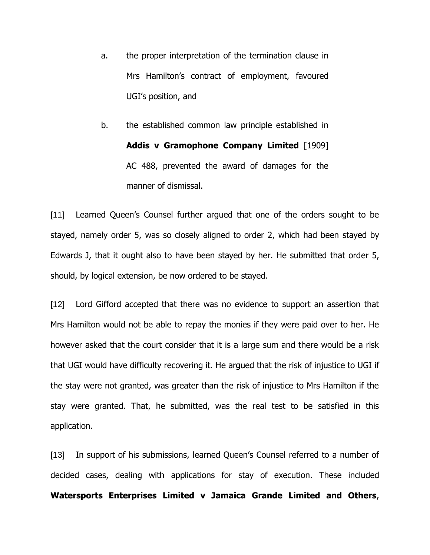a. the proper interpretation of the termination clause in Mrs Hamilton's contract of employment, favoured UGI's position, and

b. the established common law principle established in **Addis v Gramophone Company Limited** [1909] AC 488, prevented the award of damages for the manner of dismissal.

[11] Learned Queen's Counsel further argued that one of the orders sought to be stayed, namely order 5, was so closely aligned to order 2, which had been stayed by Edwards J, that it ought also to have been stayed by her. He submitted that order 5, should, by logical extension, be now ordered to be stayed.

[12] Lord Gifford accepted that there was no evidence to support an assertion that Mrs Hamilton would not be able to repay the monies if they were paid over to her. He however asked that the court consider that it is a large sum and there would be a risk that UGI would have difficulty recovering it. He argued that the risk of injustice to UGI if the stay were not granted, was greater than the risk of injustice to Mrs Hamilton if the stay were granted. That, he submitted, was the real test to be satisfied in this application.

[13] In support of his submissions, learned Queen's Counsel referred to a number of decided cases, dealing with applications for stay of execution. These included **Watersports Enterprises Limited v Jamaica Grande Limited and Others**,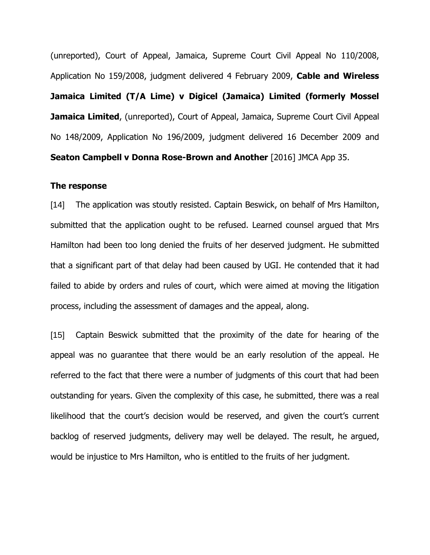(unreported), Court of Appeal, Jamaica, Supreme Court Civil Appeal No 110/2008, Application No 159/2008, judgment delivered 4 February 2009, **Cable and Wireless Jamaica Limited (T/A Lime) v Digicel (Jamaica) Limited (formerly Mossel Jamaica Limited,** (unreported), Court of Appeal, Jamaica, Supreme Court Civil Appeal No 148/2009, Application No 196/2009, judgment delivered 16 December 2009 and **Seaton Campbell v Donna Rose-Brown and Another** [2016] JMCA App 35.

#### **The response**

[14] The application was stoutly resisted. Captain Beswick, on behalf of Mrs Hamilton, submitted that the application ought to be refused. Learned counsel argued that Mrs Hamilton had been too long denied the fruits of her deserved judgment. He submitted that a significant part of that delay had been caused by UGI. He contended that it had failed to abide by orders and rules of court, which were aimed at moving the litigation process, including the assessment of damages and the appeal, along.

[15] Captain Beswick submitted that the proximity of the date for hearing of the appeal was no guarantee that there would be an early resolution of the appeal. He referred to the fact that there were a number of judgments of this court that had been outstanding for years. Given the complexity of this case, he submitted, there was a real likelihood that the court's decision would be reserved, and given the court's current backlog of reserved judgments, delivery may well be delayed. The result, he argued, would be injustice to Mrs Hamilton, who is entitled to the fruits of her judgment.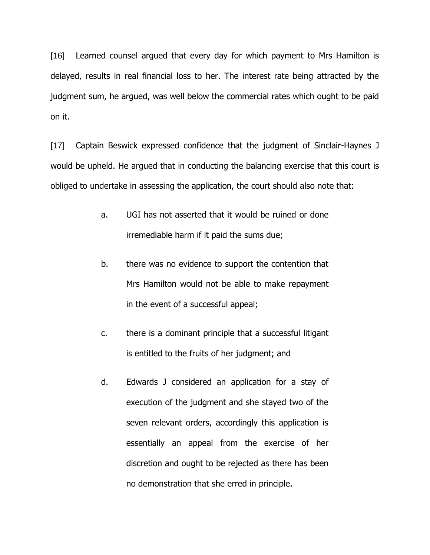[16] Learned counsel argued that every day for which payment to Mrs Hamilton is delayed, results in real financial loss to her. The interest rate being attracted by the judgment sum, he argued, was well below the commercial rates which ought to be paid on it.

[17] Captain Beswick expressed confidence that the judgment of Sinclair-Haynes J would be upheld. He argued that in conducting the balancing exercise that this court is obliged to undertake in assessing the application, the court should also note that:

- a. UGI has not asserted that it would be ruined or done irremediable harm if it paid the sums due;
- b. there was no evidence to support the contention that Mrs Hamilton would not be able to make repayment in the event of a successful appeal;
- c. there is a dominant principle that a successful litigant is entitled to the fruits of her judgment; and
- d. Edwards J considered an application for a stay of execution of the judgment and she stayed two of the seven relevant orders, accordingly this application is essentially an appeal from the exercise of her discretion and ought to be rejected as there has been no demonstration that she erred in principle.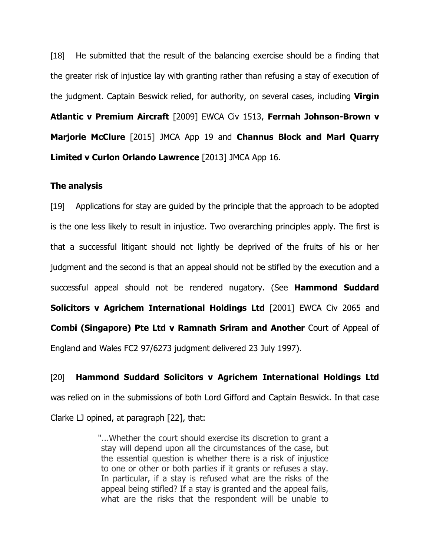[18] He submitted that the result of the balancing exercise should be a finding that the greater risk of injustice lay with granting rather than refusing a stay of execution of the judgment. Captain Beswick relied, for authority, on several cases, including **Virgin Atlantic v Premium Aircraft** [2009] EWCA Civ 1513, **Ferrnah Johnson-Brown v Marjorie McClure** [2015] JMCA App 19 and **Channus Block and Marl Quarry Limited v Curlon Orlando Lawrence** [2013] JMCA App 16.

#### **The analysis**

[19] Applications for stay are guided by the principle that the approach to be adopted is the one less likely to result in injustice. Two overarching principles apply. The first is that a successful litigant should not lightly be deprived of the fruits of his or her judgment and the second is that an appeal should not be stifled by the execution and a successful appeal should not be rendered nugatory. (See **Hammond Suddard Solicitors v Agrichem International Holdings Ltd** [2001] EWCA Civ 2065 and **Combi (Singapore) Pte Ltd v Ramnath Sriram and Another** Court of Appeal of England and Wales FC2 97/6273 judgment delivered 23 July 1997).

[20] **Hammond Suddard Solicitors v Agrichem International Holdings Ltd**  was relied on in the submissions of both Lord Gifford and Captain Beswick. In that case

Clarke LJ opined, at paragraph [22], that:

"...Whether the court should exercise its discretion to grant a stay will depend upon all the circumstances of the case, but the essential question is whether there is a risk of injustice to one or other or both parties if it grants or refuses a stay. In particular, if a stay is refused what are the risks of the appeal being stifled? If a stay is granted and the appeal fails, what are the risks that the respondent will be unable to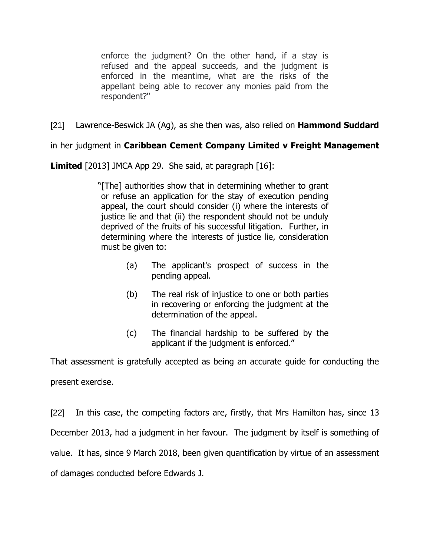enforce the judgment? On the other hand, if a stay is refused and the appeal succeeds, and the judgment is enforced in the meantime, what are the risks of the appellant being able to recover any monies paid from the respondent?"

[21] Lawrence-Beswick JA (Ag), as she then was, also relied on **Hammond Suddard** 

in her judgment in **Caribbean Cement Company Limited v Freight Management** 

**Limited** [2013] JMCA App 29. She said, at paragraph [16]:

"[The] authorities show that in determining whether to grant or refuse an application for the stay of execution pending appeal, the court should consider (i) where the interests of justice lie and that (ii) the respondent should not be unduly deprived of the fruits of his successful litigation. Further, in determining where the interests of justice lie, consideration must be given to:

- (a) The applicant's prospect of success in the pending appeal.
- (b) The real risk of injustice to one or both parties in recovering or enforcing the judgment at the determination of the appeal.
- (c) The financial hardship to be suffered by the applicant if the judgment is enforced."

That assessment is gratefully accepted as being an accurate guide for conducting the present exercise.

[22] In this case, the competing factors are, firstly, that Mrs Hamilton has, since 13 December 2013, had a judgment in her favour. The judgment by itself is something of value. It has, since 9 March 2018, been given quantification by virtue of an assessment of damages conducted before Edwards J.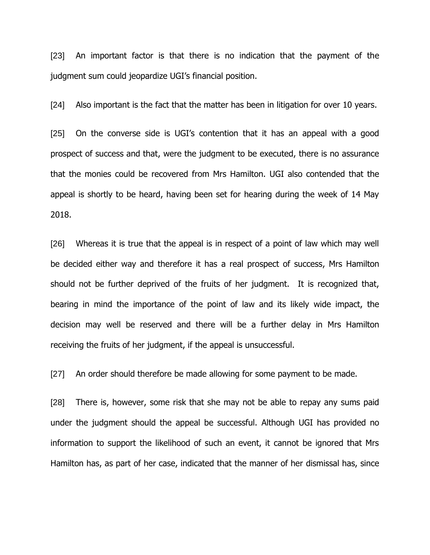[23] An important factor is that there is no indication that the payment of the judgment sum could jeopardize UGI's financial position.

[24] Also important is the fact that the matter has been in litigation for over 10 years.

[25] On the converse side is UGI's contention that it has an appeal with a good prospect of success and that, were the judgment to be executed, there is no assurance that the monies could be recovered from Mrs Hamilton. UGI also contended that the appeal is shortly to be heard, having been set for hearing during the week of 14 May 2018.

[26] Whereas it is true that the appeal is in respect of a point of law which may well be decided either way and therefore it has a real prospect of success, Mrs Hamilton should not be further deprived of the fruits of her judgment. It is recognized that, bearing in mind the importance of the point of law and its likely wide impact, the decision may well be reserved and there will be a further delay in Mrs Hamilton receiving the fruits of her judgment, if the appeal is unsuccessful.

[27] An order should therefore be made allowing for some payment to be made.

[28] There is, however, some risk that she may not be able to repay any sums paid under the judgment should the appeal be successful. Although UGI has provided no information to support the likelihood of such an event, it cannot be ignored that Mrs Hamilton has, as part of her case, indicated that the manner of her dismissal has, since